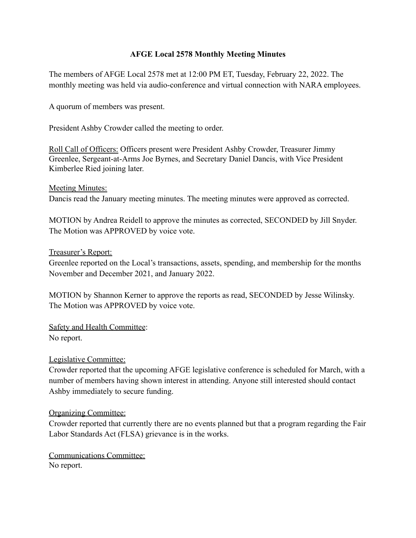## **AFGE Local 2578 Monthly Meeting Minutes**

The members of AFGE Local 2578 met at 12:00 PM ET, Tuesday, February 22, 2022. The monthly meeting was held via audio-conference and virtual connection with NARA employees.

A quorum of members was present.

President Ashby Crowder called the meeting to order.

Roll Call of Officers: Officers present were President Ashby Crowder, Treasurer Jimmy Greenlee, Sergeant-at-Arms Joe Byrnes, and Secretary Daniel Dancis, with Vice President Kimberlee Ried joining later.

Meeting Minutes:

Dancis read the January meeting minutes. The meeting minutes were approved as corrected.

MOTION by Andrea Reidell to approve the minutes as corrected, SECONDED by Jill Snyder. The Motion was APPROVED by voice vote.

### Treasurer's Report:

Greenlee reported on the Local's transactions, assets, spending, and membership for the months November and December 2021, and January 2022.

MOTION by Shannon Kerner to approve the reports as read, SECONDED by Jesse Wilinsky. The Motion was APPROVED by voice vote.

Safety and Health Committee: No report.

## Legislative Committee:

Crowder reported that the upcoming AFGE legislative conference is scheduled for March, with a number of members having shown interest in attending. Anyone still interested should contact Ashby immediately to secure funding.

## Organizing Committee:

Crowder reported that currently there are no events planned but that a program regarding the Fair Labor Standards Act (FLSA) grievance is in the works.

Communications Committee: No report.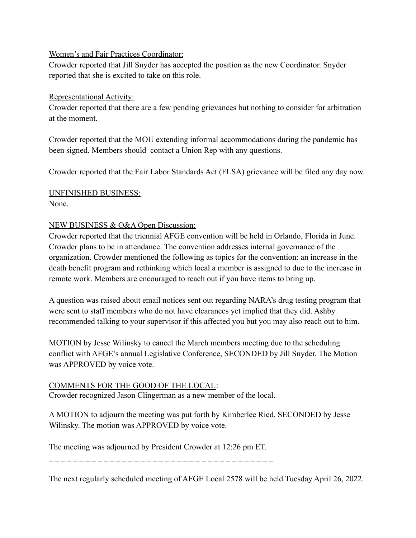## Women's and Fair Practices Coordinator:

Crowder reported that Jill Snyder has accepted the position as the new Coordinator. Snyder reported that she is excited to take on this role.

## Representational Activity:

Crowder reported that there are a few pending grievances but nothing to consider for arbitration at the moment.

Crowder reported that the MOU extending informal accommodations during the pandemic has been signed. Members should contact a Union Rep with any questions.

Crowder reported that the Fair Labor Standards Act (FLSA) grievance will be filed any day now.

## UNFINISHED BUSINESS: None.

# NEW BUSINESS & Q&A Open Discussion:

Crowder reported that the triennial AFGE convention will be held in Orlando, Florida in June. Crowder plans to be in attendance. The convention addresses internal governance of the organization. Crowder mentioned the following as topics for the convention: an increase in the death benefit program and rethinking which local a member is assigned to due to the increase in remote work. Members are encouraged to reach out if you have items to bring up.

A question was raised about email notices sent out regarding NARA's drug testing program that were sent to staff members who do not have clearances yet implied that they did. Ashby recommended talking to your supervisor if this affected you but you may also reach out to him.

MOTION by Jesse Wilinsky to cancel the March members meeting due to the scheduling conflict with AFGE's annual Legislative Conference, SECONDED by Jill Snyder. The Motion was APPROVED by voice vote.

## COMMENTS FOR THE GOOD OF THE LOCAL:

Crowder recognized Jason Clingerman as a new member of the local.

A MOTION to adjourn the meeting was put forth by Kimberlee Ried, SECONDED by Jesse Wilinsky. The motion was APPROVED by voice vote.

The meeting was adjourned by President Crowder at 12:26 pm ET.

\_ \_ \_ \_ \_ \_ \_ \_ \_ \_ \_ \_ \_ \_ \_ \_ \_ \_ \_ \_ \_ \_ \_ \_ \_ \_ \_ \_ \_ \_ \_ \_ \_ \_ \_ \_ \_

The next regularly scheduled meeting of AFGE Local 2578 will be held Tuesday April 26, 2022.